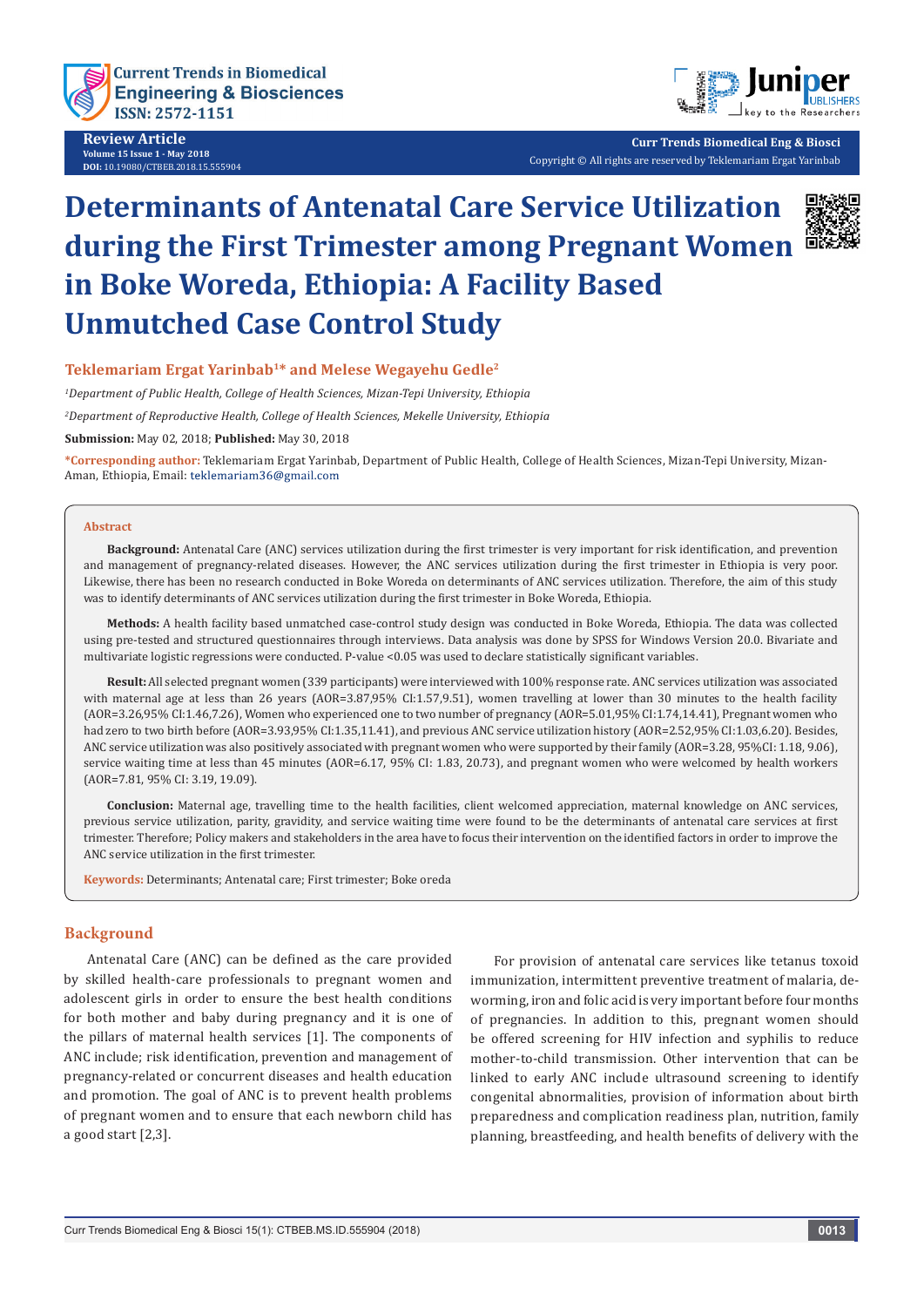

**Review Article Volume 15 Issue 1 - May 2018 DOI:** [10.19080/CTBEB.2018.15.5559](http://dx.doi.org/10.19080/CTBEB.2018.15.555904)04



**Curr Trends Biomedical Eng & Biosci** Copyright © All rights are reserved by Teklemariam Ergat Yarinbab

# **Determinants of Antenatal Care Service Utilization during the First Trimester among Pregnant Women in Boke Woreda, Ethiopia: A Facility Based Unmutched Case Control Study**



# **Teklemariam Ergat Yarinbab1\* and Melese Wegayehu Gedle2**

*1 Department of Public Health, College of Health Sciences, Mizan-Tepi University, Ethiopia*

*2 Department of Reproductive Health, College of Health Sciences, Mekelle University, Ethiopia*

**Submission:** May 02, 2018; **Published:** May 30, 2018

**\*Corresponding author:** Teklemariam Ergat Yarinbab, Department of Public Health, College of Health Sciences, Mizan-Tepi University, Mizan-Aman, Ethiopia, Email: teklemariam36@gmail.com

#### **Abstract**

**Background:** Antenatal Care (ANC) services utilization during the first trimester is very important for risk identification, and prevention and management of pregnancy-related diseases. However, the ANC services utilization during the first trimester in Ethiopia is very poor. Likewise, there has been no research conducted in Boke Woreda on determinants of ANC services utilization. Therefore, the aim of this study was to identify determinants of ANC services utilization during the first trimester in Boke Woreda, Ethiopia.

**Methods:** A health facility based unmatched case-control study design was conducted in Boke Woreda, Ethiopia. The data was collected using pre-tested and structured questionnaires through interviews. Data analysis was done by SPSS for Windows Version 20.0. Bivariate and multivariate logistic regressions were conducted. P-value <0.05 was used to declare statistically significant variables.

**Result:** All selected pregnant women (339 participants) were interviewed with 100% response rate. ANC services utilization was associated with maternal age at less than 26 years (AOR=3.87,95% CI:1.57,9.51), women travelling at lower than 30 minutes to the health facility (AOR=3.26,95% CI:1.46,7.26), Women who experienced one to two number of pregnancy (AOR=5.01,95% CI:1.74,14.41), Pregnant women who had zero to two birth before (AOR=3.93,95% CI:1.35,11.41), and previous ANC service utilization history (AOR=2.52,95% CI:1.03,6.20). Besides, ANC service utilization was also positively associated with pregnant women who were supported by their family (AOR=3.28, 95%CI: 1.18, 9.06), service waiting time at less than 45 minutes (AOR=6.17, 95% CI: 1.83, 20.73), and pregnant women who were welcomed by health workers (AOR=7.81, 95% CI: 3.19, 19.09).

**Conclusion:** Maternal age, travelling time to the health facilities, client welcomed appreciation, maternal knowledge on ANC services, previous service utilization, parity, gravidity, and service waiting time were found to be the determinants of antenatal care services at first trimester. Therefore; Policy makers and stakeholders in the area have to focus their intervention on the identified factors in order to improve the ANC service utilization in the first trimester.

**Keywords:** Determinants; Antenatal care; First trimester; Boke oreda

# **Background**

Antenatal Care (ANC) can be defined as the care provided by skilled health-care professionals to pregnant women and adolescent girls in order to ensure the best health conditions for both mother and baby during pregnancy and it is one of the pillars of maternal health services [1]. The components of ANC include; risk identification, prevention and management of pregnancy-related or concurrent diseases and health education and promotion. The goal of ANC is to prevent health problems of pregnant women and to ensure that each newborn child has a good start [2,3].

For provision of antenatal care services like tetanus toxoid immunization, intermittent preventive treatment of malaria, deworming, iron and folic acid is very important before four months of pregnancies. In addition to this, pregnant women should be offered screening for HIV infection and syphilis to reduce mother-to-child transmission. Other intervention that can be linked to early ANC include ultrasound screening to identify congenital abnormalities, provision of information about birth preparedness and complication readiness plan, nutrition, family planning, breastfeeding, and health benefits of delivery with the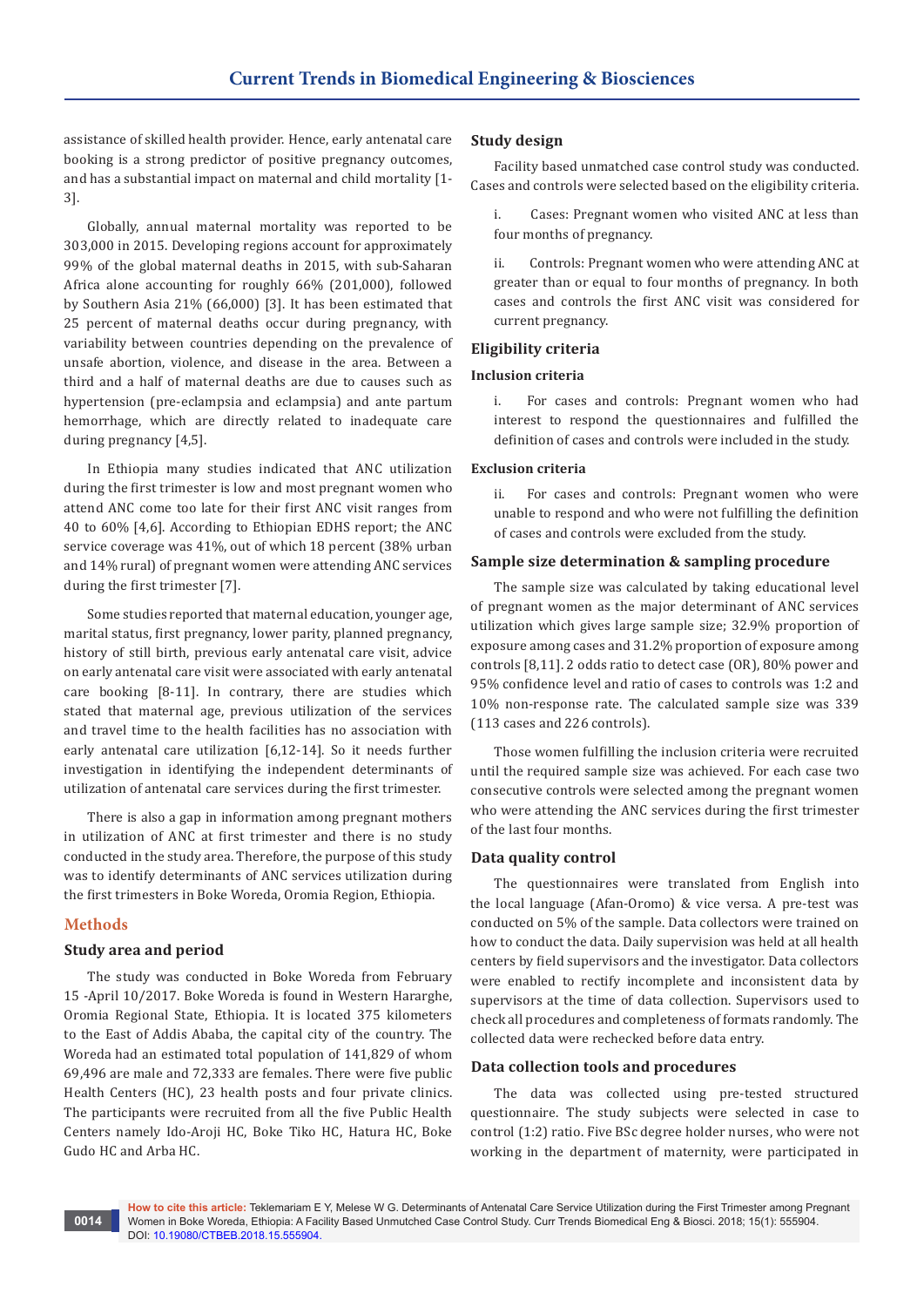assistance of skilled health provider. Hence, early antenatal care booking is a strong predictor of positive pregnancy outcomes, and has a substantial impact on maternal and child mortality [1- 3].

Globally, annual maternal mortality was reported to be 303,000 in 2015. Developing regions account for approximately 99% of the global maternal deaths in 2015, with sub-Saharan Africa alone accounting for roughly 66% (201,000), followed by Southern Asia 21% (66,000) [3]. It has been estimated that 25 percent of maternal deaths occur during pregnancy, with variability between countries depending on the prevalence of unsafe abortion, violence, and disease in the area. Between a third and a half of maternal deaths are due to causes such as hypertension (pre-eclampsia and eclampsia) and ante partum hemorrhage, which are directly related to inadequate care during pregnancy [4,5].

In Ethiopia many studies indicated that ANC utilization during the first trimester is low and most pregnant women who attend ANC come too late for their first ANC visit ranges from 40 to 60% [4,6]. According to Ethiopian EDHS report; the ANC service coverage was 41%, out of which 18 percent (38% urban and 14% rural) of pregnant women were attending ANC services during the first trimester [7].

Some studies reported that maternal education, younger age, marital status, first pregnancy, lower parity, planned pregnancy, history of still birth, previous early antenatal care visit, advice on early antenatal care visit were associated with early antenatal care booking [8-11]. In contrary, there are studies which stated that maternal age, previous utilization of the services and travel time to the health facilities has no association with early antenatal care utilization [6,12-14]. So it needs further investigation in identifying the independent determinants of utilization of antenatal care services during the first trimester.

There is also a gap in information among pregnant mothers in utilization of ANC at first trimester and there is no study conducted in the study area. Therefore, the purpose of this study was to identify determinants of ANC services utilization during the first trimesters in Boke Woreda, Oromia Region, Ethiopia.

# **Methods**

## **Study area and period**

The study was conducted in Boke Woreda from February 15 -April 10/2017. Boke Woreda is found in Western Hararghe, Oromia Regional State, Ethiopia. It is located 375 kilometers to the East of Addis Ababa, the capital city of the country. The Woreda had an estimated total population of 141,829 of whom 69,496 are male and 72,333 are females. There were five public Health Centers (HC), 23 health posts and four private clinics. The participants were recruited from all the five Public Health Centers namely Ido-Aroji HC, Boke Tiko HC, Hatura HC, Boke Gudo HC and Arba HC.

#### **Study design**

Facility based unmatched case control study was conducted. Cases and controls were selected based on the eligibility criteria.

i. Cases: Pregnant women who visited ANC at less than four months of pregnancy.

ii. Controls: Pregnant women who were attending ANC at greater than or equal to four months of pregnancy. In both cases and controls the first ANC visit was considered for current pregnancy.

#### **Eligibility criteria**

#### **Inclusion criteria**

i. For cases and controls: Pregnant women who had interest to respond the questionnaires and fulfilled the definition of cases and controls were included in the study.

#### **Exclusion criteria**

ii. For cases and controls: Pregnant women who were unable to respond and who were not fulfilling the definition of cases and controls were excluded from the study.

#### **Sample size determination & sampling procedure**

The sample size was calculated by taking educational level of pregnant women as the major determinant of ANC services utilization which gives large sample size; 32.9% proportion of exposure among cases and 31.2% proportion of exposure among controls [8,11]. 2 odds ratio to detect case (OR), 80% power and 95% confidence level and ratio of cases to controls was 1:2 and 10% non-response rate. The calculated sample size was 339 (113 cases and 226 controls).

Those women fulfilling the inclusion criteria were recruited until the required sample size was achieved. For each case two consecutive controls were selected among the pregnant women who were attending the ANC services during the first trimester of the last four months.

#### **Data quality control**

The questionnaires were translated from English into the local language (Afan-Oromo) & vice versa. A pre-test was conducted on 5% of the sample. Data collectors were trained on how to conduct the data. Daily supervision was held at all health centers by field supervisors and the investigator. Data collectors were enabled to rectify incomplete and inconsistent data by supervisors at the time of data collection. Supervisors used to check all procedures and completeness of formats randomly. The collected data were rechecked before data entry.

#### **Data collection tools and procedures**

The data was collected using pre-tested structured questionnaire. The study subjects were selected in case to control (1:2) ratio. Five BSc degree holder nurses, who were not working in the department of maternity, were participated in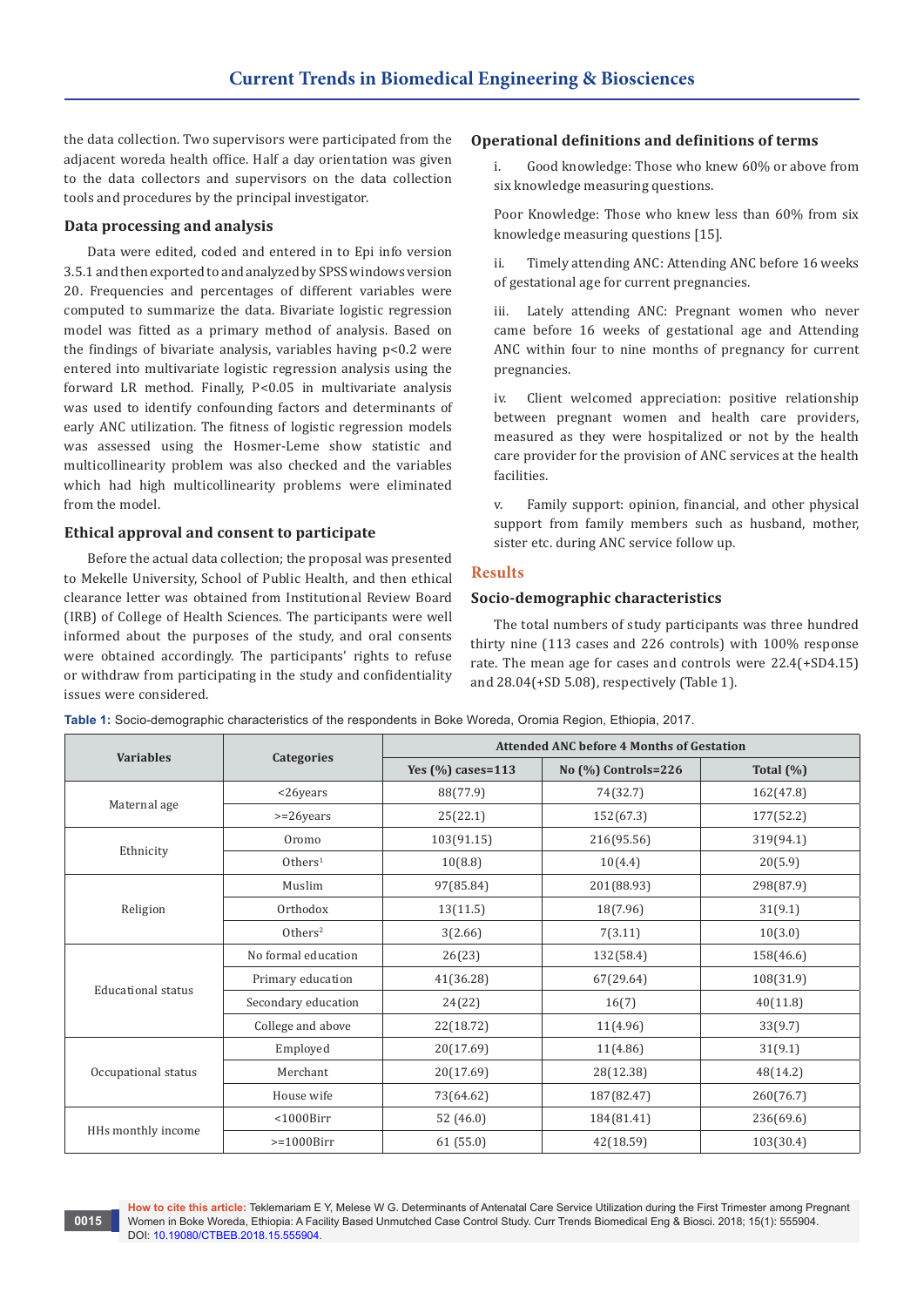the data collection. Two supervisors were participated from the adjacent woreda health office. Half a day orientation was given to the data collectors and supervisors on the data collection tools and procedures by the principal investigator.

# **Data processing and analysis**

Data were edited, coded and entered in to Epi info version 3.5.1 and then exported to and analyzed by SPSS windows version 20. Frequencies and percentages of different variables were computed to summarize the data. Bivariate logistic regression model was fitted as a primary method of analysis. Based on the findings of bivariate analysis, variables having p<0.2 were entered into multivariate logistic regression analysis using the forward LR method. Finally, P<0.05 in multivariate analysis was used to identify confounding factors and determinants of early ANC utilization. The fitness of logistic regression models was assessed using the Hosmer-Leme show statistic and multicollinearity problem was also checked and the variables which had high multicollinearity problems were eliminated from the model.

# **Ethical approval and consent to participate**

Before the actual data collection; the proposal was presented to Mekelle University, School of Public Health, and then ethical clearance letter was obtained from Institutional Review Board (IRB) of College of Health Sciences. The participants were well informed about the purposes of the study, and oral consents were obtained accordingly. The participants' rights to refuse or withdraw from participating in the study and confidentiality issues were considered.

# **Operational definitions and definitions of terms**

Good knowledge: Those who knew 60% or above from six knowledge measuring questions.

Poor Knowledge: Those who knew less than 60% from six knowledge measuring questions [15].

ii. Timely attending ANC: Attending ANC before 16 weeks of gestational age for current pregnancies.

iii. Lately attending ANC: Pregnant women who never came before 16 weeks of gestational age and Attending ANC within four to nine months of pregnancy for current pregnancies.

iv. Client welcomed appreciation: positive relationship between pregnant women and health care providers, measured as they were hospitalized or not by the health care provider for the provision of ANC services at the health facilities.

v. Family support: opinion, financial, and other physical support from family members such as husband, mother, sister etc. during ANC service follow up.

## **Results**

# **Socio-demographic characteristics**

The total numbers of study participants was three hundred thirty nine (113 cases and 226 controls) with 100% response rate. The mean age for cases and controls were 22.4(+SD4.15) and 28.04(+SD 5.08), respectively (Table 1).

| <b>Variables</b>          |                        | <b>Attended ANC before 4 Months of Gestation</b> |                         |              |  |  |
|---------------------------|------------------------|--------------------------------------------------|-------------------------|--------------|--|--|
|                           | <b>Categories</b>      | Yes $(\% )$ cases=113                            | No $(\% )$ Controls=226 | Total $(\%)$ |  |  |
|                           | $<$ 26years            | 88(77.9)                                         | 74(32.7)                | 162(47.8)    |  |  |
| Maternal age              | $>=26$ years           | 25(22.1)                                         | 152(67.3)               | 177(52.2)    |  |  |
| Ethnicity                 | Oromo                  | 103(91.15)                                       | 216(95.56)              | 319(94.1)    |  |  |
|                           | $0$ thers <sup>1</sup> | 10(8.8)                                          | 10(4.4)                 | 20(5.9)      |  |  |
|                           | Muslim                 | 97(85.84)                                        | 201(88.93)              | 298(87.9)    |  |  |
| Religion                  | Orthodox               | 13(11.5)                                         | 18(7.96)                | 31(9.1)      |  |  |
|                           | $0$ thers <sup>2</sup> | 3(2.66)                                          | 7(3.11)                 | 10(3.0)      |  |  |
|                           | No formal education    | 26(23)                                           | 132(58.4)               | 158(46.6)    |  |  |
| <b>Educational status</b> | Primary education      | 41(36.28)                                        | 67(29.64)               | 108(31.9)    |  |  |
|                           | Secondary education    | 24(22)                                           | 16(7)                   | 40(11.8)     |  |  |
|                           | College and above      | 22(18.72)                                        | 11(4.96)                | 33(9.7)      |  |  |
|                           | Employed               | 20(17.69)                                        | 11(4.86)                | 31(9.1)      |  |  |
| Occupational status       | Merchant               | 20(17.69)                                        | 28(12.38)               | 48(14.2)     |  |  |
|                           | House wife             | 73(64.62)                                        | 187(82.47)              | 260(76.7)    |  |  |
| HHs monthly income        | $<$ 1000Birr           | 52 (46.0)                                        | 184(81.41)              | 236(69.6)    |  |  |
|                           | $>=1000Birr$           | 61(55.0)                                         | 42(18.59)               | 103(30.4)    |  |  |

**Table 1:** Socio-demographic characteristics of the respondents in Boke Woreda, Oromia Region, Ethiopia, 2017.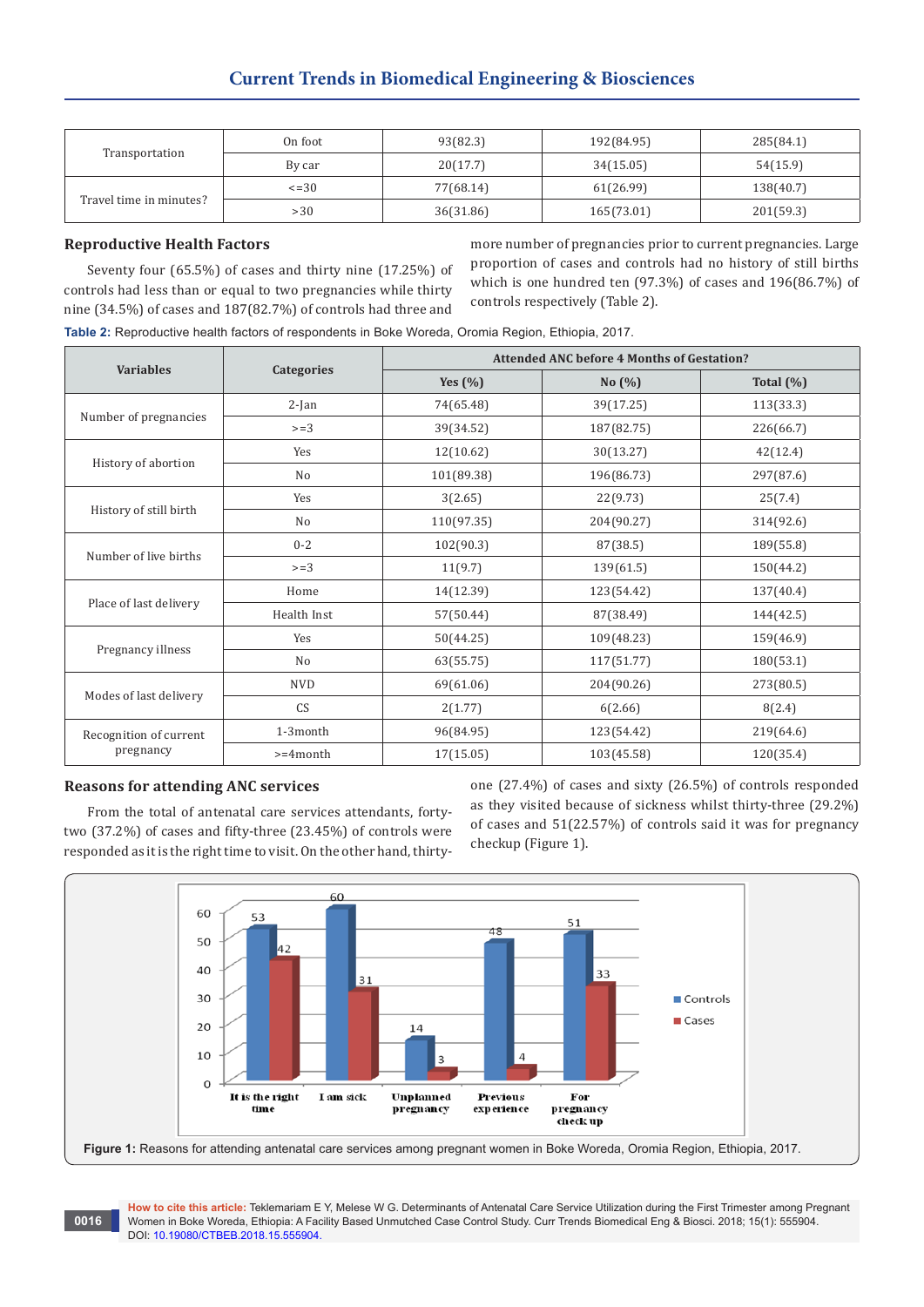| Transportation          | On foot     | 93(82.3)  | 192(84.95) | 285(84.1) |
|-------------------------|-------------|-----------|------------|-----------|
|                         | By car      | 20(17.7)  | 34(15.05)  | 54(15.9)  |
| Travel time in minutes? | $\leq$ = 30 | 77(68.14) | 61(26.99)  | 138(40.7) |
|                         | >30         | 36(31.86) | 165(73.01) | 201(59.3) |

# **Reproductive Health Factors**

Seventy four (65.5%) of cases and thirty nine (17.25%) of controls had less than or equal to two pregnancies while thirty nine (34.5%) of cases and 187(82.7%) of controls had three and more number of pregnancies prior to current pregnancies. Large proportion of cases and controls had no history of still births which is one hundred ten (97.3%) of cases and 196(86.7%) of controls respectively (Table 2).

**Table 2:** Reproductive health factors of respondents in Boke Woreda, Oromia Region, Ethiopia, 2017.

| <b>Variables</b>                    |                | <b>Attended ANC before 4 Months of Gestation?</b> |            |              |  |  |
|-------------------------------------|----------------|---------------------------------------------------|------------|--------------|--|--|
|                                     | Categories     | Yes $(\% )$                                       | No(%)      | Total $(\%)$ |  |  |
|                                     | $2-Ian$        | 74(65.48)                                         | 39(17.25)  | 113(33.3)    |  |  |
| Number of pregnancies               | $>=3$          | 39(34.52)                                         | 187(82.75) | 226(66.7)    |  |  |
|                                     | Yes            | 12(10.62)                                         | 30(13.27)  | 42(12.4)     |  |  |
| History of abortion                 | N <sub>o</sub> | 101(89.38)                                        | 196(86.73) | 297(87.6)    |  |  |
|                                     | Yes            | 3(2.65)                                           | 22(9.73)   | 25(7.4)      |  |  |
| History of still birth              | N <sub>o</sub> | 110(97.35)                                        | 204(90.27) | 314(92.6)    |  |  |
| Number of live births               | $0 - 2$        | 102(90.3)                                         | 87(38.5)   | 189(55.8)    |  |  |
|                                     | $>=3$          | 11(9.7)                                           | 139(61.5)  | 150(44.2)    |  |  |
|                                     | Home           | 14(12.39)                                         | 123(54.42) | 137(40.4)    |  |  |
| Place of last delivery              | Health Inst    | 57(50.44)                                         | 87(38.49)  | 144(42.5)    |  |  |
|                                     | Yes            | 50(44.25)                                         | 109(48.23) | 159(46.9)    |  |  |
| Pregnancy illness                   | N <sub>o</sub> | 63(55.75)                                         | 117(51.77) | 180(53.1)    |  |  |
| Modes of last delivery              | <b>NVD</b>     | 69(61.06)                                         | 204(90.26) | 273(80.5)    |  |  |
|                                     | <b>CS</b>      | 2(1.77)                                           | 6(2.66)    | 8(2.4)       |  |  |
| Recognition of current<br>pregnancy | 1-3month       | 96(84.95)                                         | 123(54.42) | 219(64.6)    |  |  |
|                                     | $>=4$ month    | 17(15.05)                                         | 103(45.58) | 120(35.4)    |  |  |

# **Reasons for attending ANC services**

From the total of antenatal care services attendants, fortytwo (37.2%) of cases and fifty-three (23.45%) of controls were responded as it is the right time to visit. On the other hand, thirtyone (27.4%) of cases and sixty (26.5%) of controls responded as they visited because of sickness whilst thirty-three (29.2%) of cases and 51(22.57%) of controls said it was for pregnancy checkup (Figure 1).

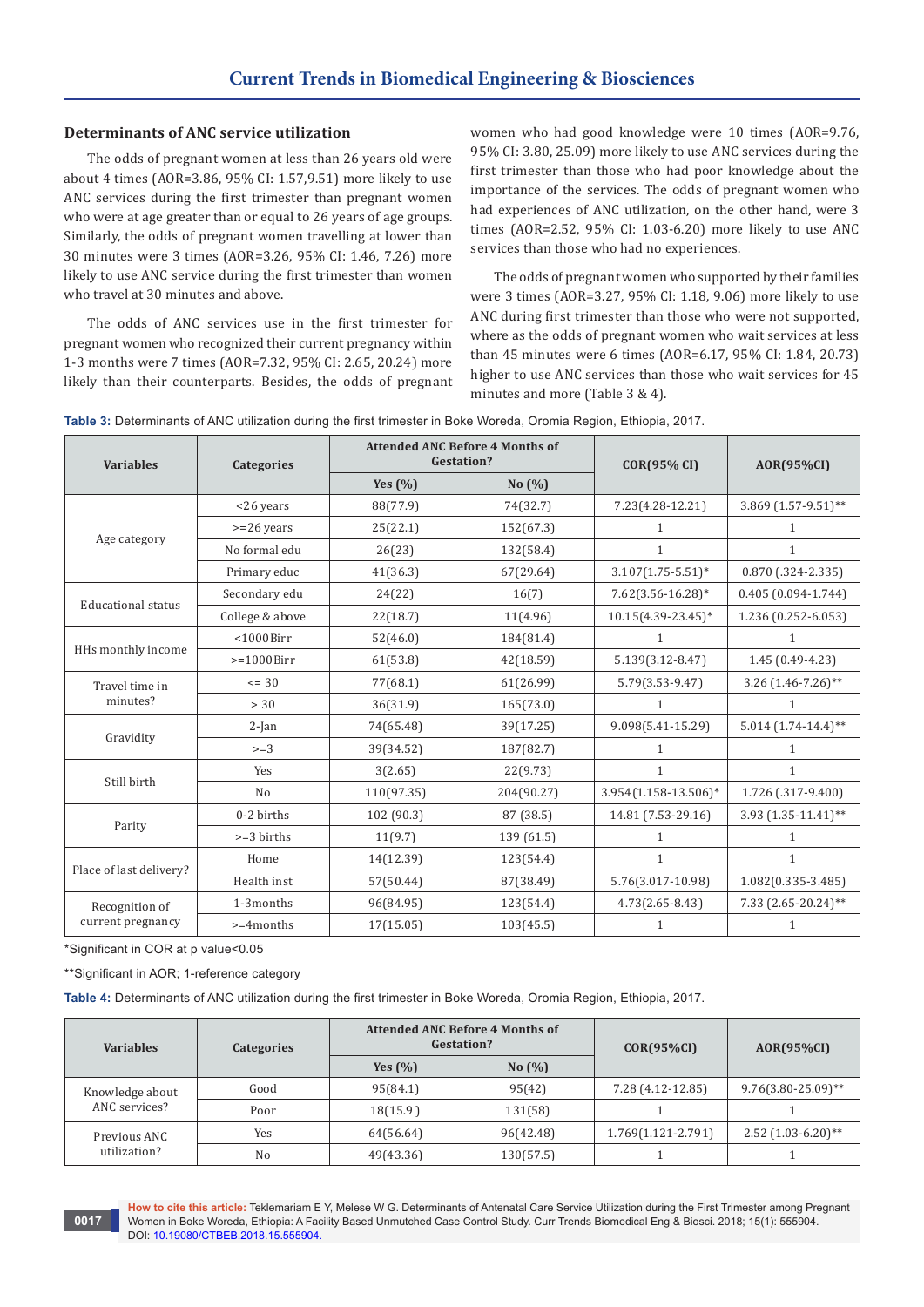# **Determinants of ANC service utilization**

The odds of pregnant women at less than 26 years old were about 4 times (AOR=3.86, 95% CI: 1.57,9.51) more likely to use ANC services during the first trimester than pregnant women who were at age greater than or equal to 26 years of age groups. Similarly, the odds of pregnant women travelling at lower than 30 minutes were 3 times (AOR=3.26, 95% CI: 1.46, 7.26) more likely to use ANC service during the first trimester than women who travel at 30 minutes and above.

The odds of ANC services use in the first trimester for pregnant women who recognized their current pregnancy within 1-3 months were 7 times (AOR=7.32, 95% CI: 2.65, 20.24) more likely than their counterparts. Besides, the odds of pregnant women who had good knowledge were 10 times (AOR=9.76, 95% CI: 3.80, 25.09) more likely to use ANC services during the first trimester than those who had poor knowledge about the importance of the services. The odds of pregnant women who had experiences of ANC utilization, on the other hand, were 3 times (AOR=2.52, 95% CI: 1.03-6.20) more likely to use ANC services than those who had no experiences.

The odds of pregnant women who supported by their families were 3 times (AOR=3.27, 95% CI: 1.18, 9.06) more likely to use ANC during first trimester than those who were not supported, where as the odds of pregnant women who wait services at less than 45 minutes were 6 times (AOR=6.17, 95% CI: 1.84, 20.73) higher to use ANC services than those who wait services for 45 minutes and more (Table 3 & 4).

|  |  | Table 3: Determinants of ANC utilization during the first trimester in Boke Woreda, Oromia Region, Ethiopia, 2017. |
|--|--|--------------------------------------------------------------------------------------------------------------------|
|--|--|--------------------------------------------------------------------------------------------------------------------|

| <b>Variables</b>          | <b>Categories</b>    | <b>Attended ANC Before 4 Months of</b><br><b>Gestation?</b> |            | <b>COR(95% CI)</b>      | AOR(95%CI)             |  |
|---------------------------|----------------------|-------------------------------------------------------------|------------|-------------------------|------------------------|--|
|                           |                      | Yes $(%$                                                    | No (%)     |                         |                        |  |
|                           | <26 years            | 88(77.9)                                                    | 74(32.7)   | 7.23(4.28-12.21)        | 3.869 (1.57-9.51)**    |  |
|                           | $>=26$ years         | 25(22.1)                                                    | 152(67.3)  | 1                       | 1                      |  |
| Age category              | No formal edu        | 26(23)                                                      | 132(58.4)  | $\mathbf{1}$            | 1                      |  |
|                           | Primary educ         | 41(36.3)                                                    | 67(29.64)  | $3.107(1.75 - 5.51)^*$  | $0.870$ (.324-2.335)   |  |
| <b>Educational status</b> | Secondary edu        | 24(22)                                                      | 16(7)      | 7.62(3.56-16.28)*       | $0.405(0.094 - 1.744)$ |  |
|                           | College & above      | 22(18.7)                                                    | 11(4.96)   | $10.15(4.39 - 23.45)^*$ | 1.236 (0.252-6.053)    |  |
|                           | $<$ 1000Birr         | 52(46.0)                                                    | 184(81.4)  | 1                       | 1                      |  |
| HHs monthly income        | $>=1000Birr$         | 61(53.8)                                                    | 42(18.59)  | 5.139(3.12-8.47)        | 1.45 (0.49-4.23)       |  |
| Travel time in            | $= 30$               | 77(68.1)                                                    | 61(26.99)  | $5.79(3.53-9.47)$       | $3.26$ (1.46-7.26)**   |  |
| minutes?                  | > 30                 | 36(31.9)                                                    | 165(73.0)  | $\mathbf{1}$            | 1                      |  |
|                           | $2-Ian$              | 74(65.48)                                                   | 39(17.25)  | 9.098(5.41-15.29)       | $5.014(1.74-14.4)$ **  |  |
| Gravidity                 | $>=3$                | 39(34.52)                                                   | 187(82.7)  | $\mathbf{1}$            | $\mathbf{1}$           |  |
|                           | Yes                  | 3(2.65)                                                     | 22(9.73)   | $\mathbf{1}$            | $\mathbf{1}$           |  |
| Still birth               | N <sub>o</sub>       | 110(97.35)                                                  | 204(90.27) | 3.954(1.158-13.506)*    | 1.726 (.317-9.400)     |  |
|                           | 0-2 births           | 102 (90.3)                                                  | 87 (38.5)  | 14.81 (7.53-29.16)      | 3.93 (1.35-11.41)**    |  |
| Parity                    | $>=3 \text{ births}$ | 11(9.7)                                                     | 139 (61.5) | 1                       | $\mathbf{1}$           |  |
| Place of last delivery?   | Home                 | 14(12.39)                                                   | 123(54.4)  | $\mathbf{1}$            | 1                      |  |
|                           | Health inst          | 57(50.44)                                                   | 87(38.49)  | 5.76(3.017-10.98)       | 1.082(0.335-3.485)     |  |
| Recognition of            | 1-3months            | 96(84.95)                                                   | 123(54.4)  | 4.73(2.65-8.43)         | 7.33 (2.65-20.24)**    |  |
| current pregnancy         | $>=4$ months         | 17(15.05)                                                   | 103(45.5)  | 1                       | 1                      |  |

\*Significant in COR at p value<0.05

\*\*Significant in AOR; 1-reference category

**Table 4:** Determinants of ANC utilization during the first trimester in Boke Woreda, Oromia Region, Ethiopia, 2017.

| <b>Variables</b>                 | Categories | <b>Attended ANC Before 4 Months of</b><br>Gestation? |            | $COR(95\%CI)$          | $AOR(95\%CI)$           |
|----------------------------------|------------|------------------------------------------------------|------------|------------------------|-------------------------|
|                                  |            | Yes $(\% )$                                          | No $(\% )$ |                        |                         |
| Knowledge about<br>ANC services? | Good       | 95(84.1)                                             | 95(42)     | 7.28 (4.12-12.85)      | $9.76(3.80 - 25.09)$ ** |
|                                  | Poor       | 18(15.9)                                             | 131(58)    |                        |                         |
| Previous ANC<br>utilization?     | Yes        | 64(56.64)                                            | 96(42.48)  | $1.769(1.121 - 2.791)$ | $2.52(1.03-6.20)$ **    |
|                                  | No         | 49(43.36)                                            | 130(57.5)  |                        |                         |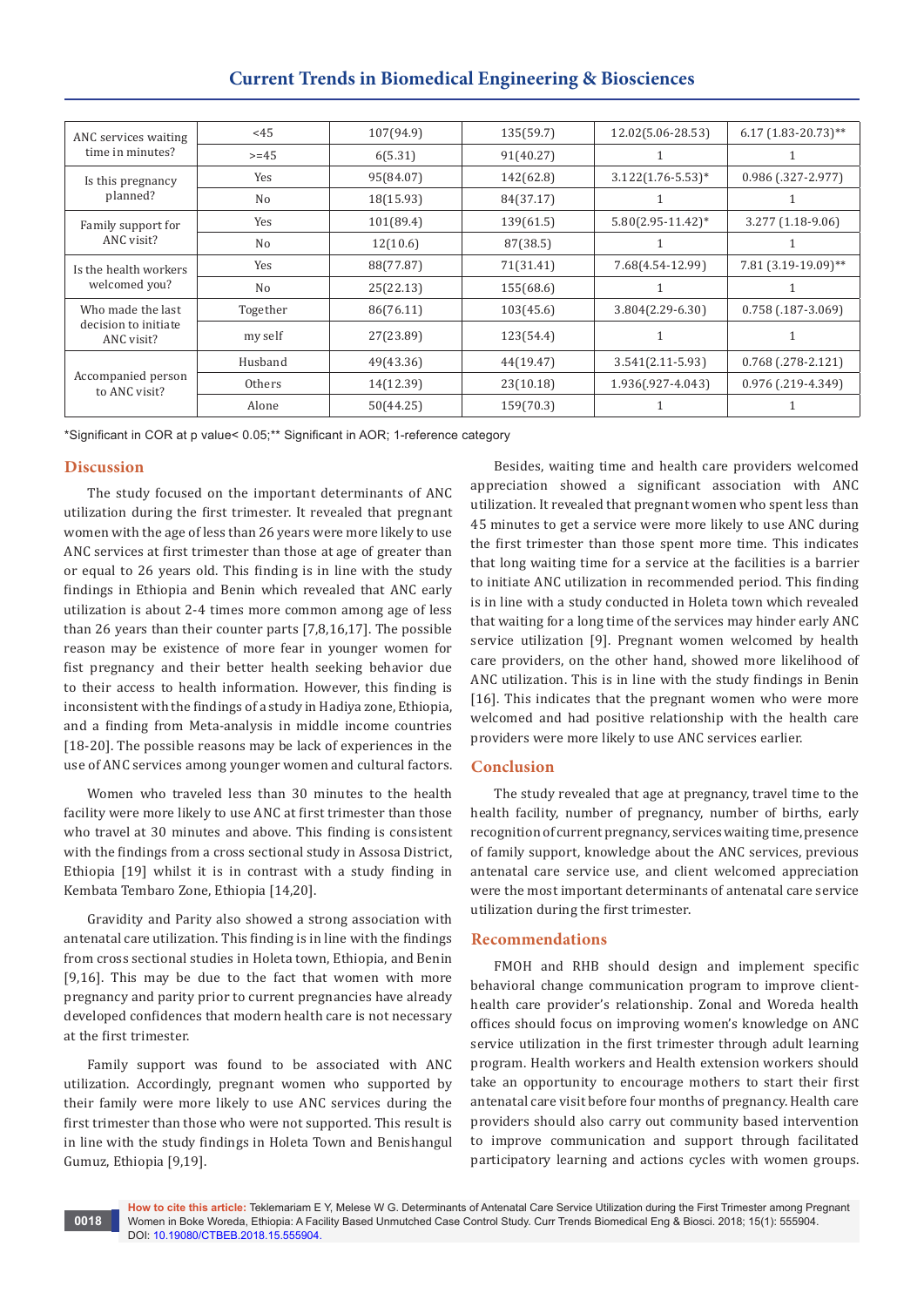|                                                         |          | Current frends in Biomedical Engineering & Biosciences |           |                        |                         |
|---------------------------------------------------------|----------|--------------------------------------------------------|-----------|------------------------|-------------------------|
|                                                         |          |                                                        |           |                        |                         |
| ANC services waiting                                    | <45      | 107(94.9)                                              | 135(59.7) | 12.02(5.06-28.53)      | $6.17(1.83 - 20.73)$ ** |
| time in minutes?                                        | $>= 45$  | 6(5.31)                                                | 91(40.27) |                        |                         |
| Is this pregnancy                                       | Yes      | 95(84.07)                                              | 142(62.8) | $3.122(1.76 - 5.53)*$  | 0.986 (.327-2.977)      |
| planned?                                                | No       | 18(15.93)                                              | 84(37.17) |                        | 1                       |
| Family support for<br>ANC visit?                        | Yes      | 101(89.4)                                              | 139(61.5) | $5.80(2.95 - 11.42)^*$ | 3.277 (1.18-9.06)       |
|                                                         | No       | 12(10.6)                                               | 87(38.5)  |                        |                         |
| Is the health workers<br>welcomed you?                  | Yes      | 88(77.87)                                              | 71(31.41) | 7.68(4.54-12.99)       | 7.81 (3.19-19.09)**     |
|                                                         | No       | 25(22.13)                                              | 155(68.6) |                        |                         |
| Who made the last<br>decision to initiate<br>ANC visit? | Together | 86(76.11)                                              | 103(45.6) | $3.804(2.29-6.30)$     | $0.758$ (.187-3.069)    |
|                                                         | my self  | 27(23.89)                                              | 123(54.4) |                        |                         |
| Accompanied person<br>to ANC visit?                     | Husband  | 49(43.36)                                              | 44(19.47) | $3.541(2.11-5.93)$     | $0.768$ (.278-2.121)    |
|                                                         | Others   | 14(12.39)                                              | 23(10.18) | 1.936(.927-4.043)      | 0.976 (.219-4.349)      |
|                                                         | Alone    | 50(44.25)                                              | 159(70.3) |                        |                         |

# **Current Trends in Biomedical Engineering & Biosciences**

\*Significant in COR at p value< 0.05;\*\* Significant in AOR; 1-reference category

# **Discussion**

The study focused on the important determinants of ANC utilization during the first trimester. It revealed that pregnant women with the age of less than 26 years were more likely to use ANC services at first trimester than those at age of greater than or equal to 26 years old. This finding is in line with the study findings in Ethiopia and Benin which revealed that ANC early utilization is about 2-4 times more common among age of less than 26 years than their counter parts [7,8,16,17]. The possible reason may be existence of more fear in younger women for fist pregnancy and their better health seeking behavior due to their access to health information. However, this finding is inconsistent with the findings of a study in Hadiya zone, Ethiopia, and a finding from Meta-analysis in middle income countries [18-20]. The possible reasons may be lack of experiences in the use of ANC services among younger women and cultural factors.

Women who traveled less than 30 minutes to the health facility were more likely to use ANC at first trimester than those who travel at 30 minutes and above. This finding is consistent with the findings from a cross sectional study in Assosa District, Ethiopia [19] whilst it is in contrast with a study finding in Kembata Tembaro Zone, Ethiopia [14,20].

Gravidity and Parity also showed a strong association with antenatal care utilization. This finding is in line with the findings from cross sectional studies in Holeta town, Ethiopia, and Benin [9,16]. This may be due to the fact that women with more pregnancy and parity prior to current pregnancies have already developed confidences that modern health care is not necessary at the first trimester.

Family support was found to be associated with ANC utilization. Accordingly, pregnant women who supported by their family were more likely to use ANC services during the first trimester than those who were not supported. This result is in line with the study findings in Holeta Town and Benishangul Gumuz, Ethiopia [9,19].

Besides, waiting time and health care providers welcomed appreciation showed a significant association with ANC utilization. It revealed that pregnant women who spent less than 45 minutes to get a service were more likely to use ANC during the first trimester than those spent more time. This indicates that long waiting time for a service at the facilities is a barrier to initiate ANC utilization in recommended period. This finding is in line with a study conducted in Holeta town which revealed that waiting for a long time of the services may hinder early ANC service utilization [9]. Pregnant women welcomed by health care providers, on the other hand, showed more likelihood of ANC utilization. This is in line with the study findings in Benin [16]. This indicates that the pregnant women who were more welcomed and had positive relationship with the health care providers were more likely to use ANC services earlier.

## **Conclusion**

The study revealed that age at pregnancy, travel time to the health facility, number of pregnancy, number of births, early recognition of current pregnancy, services waiting time, presence of family support, knowledge about the ANC services, previous antenatal care service use, and client welcomed appreciation were the most important determinants of antenatal care service utilization during the first trimester.

## **Recommendations**

FMOH and RHB should design and implement specific behavioral change communication program to improve clienthealth care provider's relationship. Zonal and Woreda health offices should focus on improving women's knowledge on ANC service utilization in the first trimester through adult learning program. Health workers and Health extension workers should take an opportunity to encourage mothers to start their first antenatal care visit before four months of pregnancy. Health care providers should also carry out community based intervention to improve communication and support through facilitated participatory learning and actions cycles with women groups.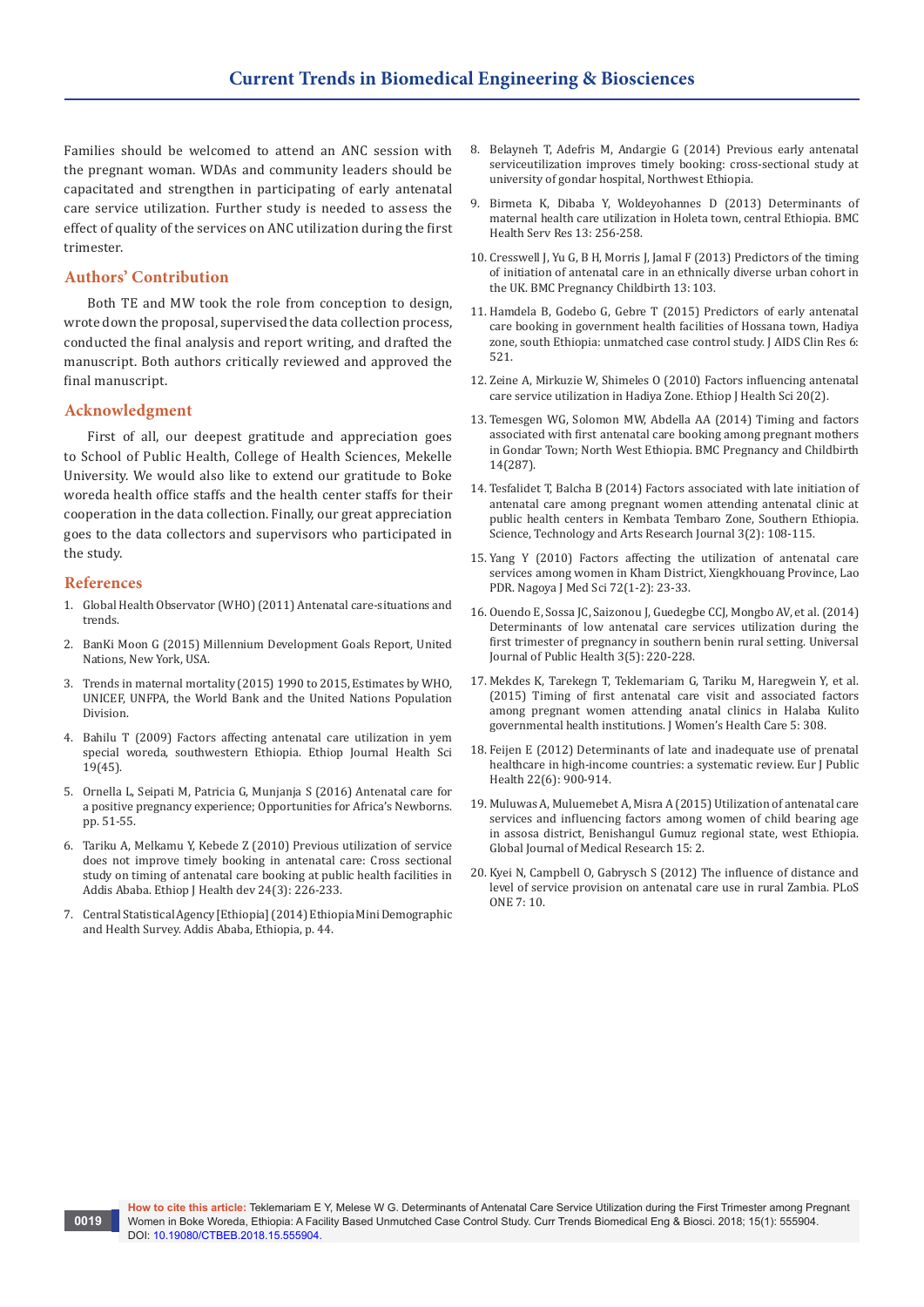Families should be welcomed to attend an ANC session with the pregnant woman. WDAs and community leaders should be capacitated and strengthen in participating of early antenatal care service utilization. Further study is needed to assess the effect of quality of the services on ANC utilization during the first trimester.

# **Authors' Contribution**

Both TE and MW took the role from conception to design, wrote down the proposal, supervised the data collection process, conducted the final analysis and report writing, and drafted the manuscript. Both authors critically reviewed and approved the final manuscript.

## **Acknowledgment**

First of all, our deepest gratitude and appreciation goes to School of Public Health, College of Health Sciences, Mekelle University. We would also like to extend our gratitude to Boke woreda health office staffs and the health center staffs for their cooperation in the data collection. Finally, our great appreciation goes to the data collectors and supervisors who participated in the study.

## **References**

**0019**

- 1. Global Health Observator (WHO) (2011) Antenatal care-situations and trends.
- 2. BanKi Moon G (2015) Millennium Development Goals Report, United Nations, New York, USA.
- 3. Trends in maternal mortality (2015) 1990 to 2015, Estimates by WHO, UNICEF, UNFPA, the World Bank and the United Nations Population Division.
- 4. [Bahilu T \(2009\) Factors affecting antenatal care utilization in yem](https://www.ajol.info/index.php/ejhs/article/view/145941/135458)  [special woreda, southwestern Ethiopia. Ethiop Journal Health Sci](https://www.ajol.info/index.php/ejhs/article/view/145941/135458)  [19\(45\).](https://www.ajol.info/index.php/ejhs/article/view/145941/135458)
- 5. Ornella L, Seipati M, Patricia G, Munjanja S (2016) Antenatal care for a positive pregnancy experience; Opportunities for Africa's Newborns. pp. 51-55.
- 6. [Tariku A, Melkamu Y, Kebede Z \(2010\) Previous utilization of service](https://www.ajol.info/index.php/ejhd/article/view/68390)  [does not improve timely booking in antenatal care: Cross sectional](https://www.ajol.info/index.php/ejhd/article/view/68390)  [study on timing of antenatal care booking at public health facilities in](https://www.ajol.info/index.php/ejhd/article/view/68390)  [Addis Ababa. Ethiop J Health dev 24\(3\): 226-233.](https://www.ajol.info/index.php/ejhd/article/view/68390)
- 7. Central Statistical Agency [Ethiopia] (2014) Ethiopia Mini Demographic and Health Survey. Addis Ababa, Ethiopia, p. 44.
- 8. [Belayneh T, Adefris M, Andargie G \(2014\) Previous early antenatal](https://www.hindawi.com/journals/jp/2014/132494/)  [serviceutilization improves timely booking: cross-sectional study at](https://www.hindawi.com/journals/jp/2014/132494/)  [university of gondar hospital, Northwest Ethiopia.](https://www.hindawi.com/journals/jp/2014/132494/)
- 9. [Birmeta K, Dibaba Y, Woldeyohannes D \(2013\) Determinants of](https://www.ncbi.nlm.nih.gov/pubmed/23822155)  [maternal health care utilization in Holeta town, central Ethiopia. BMC](https://www.ncbi.nlm.nih.gov/pubmed/23822155)  [Health Serv Res 13: 256-258.](https://www.ncbi.nlm.nih.gov/pubmed/23822155)
- 10. [Cresswell J, Yu G, B H, Morris J, Jamal F \(2013\) Predictors of the timing](https://www.ncbi.nlm.nih.gov/pubmed/23642084)  [of initiation of antenatal care in an ethnically diverse urban cohort in](https://www.ncbi.nlm.nih.gov/pubmed/23642084)  [the UK. BMC Pregnancy Childbirth 13: 103.](https://www.ncbi.nlm.nih.gov/pubmed/23642084)
- 11. Hamdela B, Godebo G, Gebre T (2015) Predictors of early antenatal care booking in government health facilities of Hossana town, Hadiya zone, south Ethiopia: unmatched case control study. J AIDS Clin Res 6: 521.
- 12. [Zeine A, Mirkuzie W, Shimeles O \(2010\) Factors influencing antenatal](https://www.ncbi.nlm.nih.gov/pubmed/22434964/)  [care service utilization in Hadiya Zone. Ethiop J Health Sci 20\(2\).](https://www.ncbi.nlm.nih.gov/pubmed/22434964/)
- 13. [Temesgen WG, Solomon MW, Abdella AA \(2014\) Timing and factors](https://bmcpregnancychildbirth.biomedcentral.com/articles/10.1186/1471-2393-14-287)  [associated with first antenatal care booking among pregnant mothers](https://bmcpregnancychildbirth.biomedcentral.com/articles/10.1186/1471-2393-14-287)  [in Gondar Town; North West Ethiopia. BMC Pregnancy and Childbirth](https://bmcpregnancychildbirth.biomedcentral.com/articles/10.1186/1471-2393-14-287)  [14\(287\).](https://bmcpregnancychildbirth.biomedcentral.com/articles/10.1186/1471-2393-14-287)
- 14. [Tesfalidet T, Balcha B \(2014\) Factors associated with late initiation of](https://www.ajol.info/index.php/star/article/view/104051)  [antenatal care among pregnant women attending antenatal clinic at](https://www.ajol.info/index.php/star/article/view/104051)  [public health centers in Kembata Tembaro Zone, Southern Ethiopia.](https://www.ajol.info/index.php/star/article/view/104051)  [Science, Technology and Arts Research Journal 3\(2\): 108-115.](https://www.ajol.info/index.php/star/article/view/104051)
- 15. [Yang Y \(2010\) Factors affecting the utilization of antenatal care](https://www.ncbi.nlm.nih.gov/pubmed/20229700)  [services among women in Kham District, Xiengkhouang Province, Lao](https://www.ncbi.nlm.nih.gov/pubmed/20229700)  [PDR. Nagoya J Med Sci 72\(1-2\): 23-33.](https://www.ncbi.nlm.nih.gov/pubmed/20229700)
- 16. [Ouendo E, Sossa JC, Saizonou J, Guedegbe CCJ, Mongbo AV, et al. \(2014\)](http://www.hrpub.org/journals/article_info.php?aid=2977)  [Determinants of low antenatal care services utilization during the](http://www.hrpub.org/journals/article_info.php?aid=2977)  [first trimester of pregnancy in southern benin rural setting. Universal](http://www.hrpub.org/journals/article_info.php?aid=2977)  [Journal of Public Health 3\(5\): 220-228.](http://www.hrpub.org/journals/article_info.php?aid=2977)
- 17. Mekdes K, Tarekegn T, Teklemariam G, Tariku M, Haregwein Y, et al. (2015) Timing of first antenatal care visit and associated factors among pregnant women attending anatal clinics in Halaba Kulito governmental health institutions. J Women's Health Care 5: 308.
- 18. [Feijen E \(2012\) Determinants of late and inadequate use of prenatal](https://www.ncbi.nlm.nih.gov/pubmed/22109988)  [healthcare in high-income countries: a systematic review. Eur J Public](https://www.ncbi.nlm.nih.gov/pubmed/22109988)  [Health 22\(6\): 900-914.](https://www.ncbi.nlm.nih.gov/pubmed/22109988)
- 19. [Muluwas A, Muluemebet A, Misra A \(2015\) Utilization of antenatal care](https://medicalresearchjournal.org/index.php/GJMR/article/view/949/859)  [services and influencing factors among women of child bearing age](https://medicalresearchjournal.org/index.php/GJMR/article/view/949/859)  [in assosa district, Benishangul Gumuz regional state, west Ethiopia.](https://medicalresearchjournal.org/index.php/GJMR/article/view/949/859)  [Global Journal of Medical Research 15: 2.](https://medicalresearchjournal.org/index.php/GJMR/article/view/949/859)
- 20. [Kyei N, Campbell O, Gabrysch S \(2012\) The influence of distance and](https://www.ncbi.nlm.nih.gov/pubmed/23056319/)  [level of service provision on antenatal care use in rural Zambia. PLoS](https://www.ncbi.nlm.nih.gov/pubmed/23056319/)  [ONE 7: 10.](https://www.ncbi.nlm.nih.gov/pubmed/23056319/)